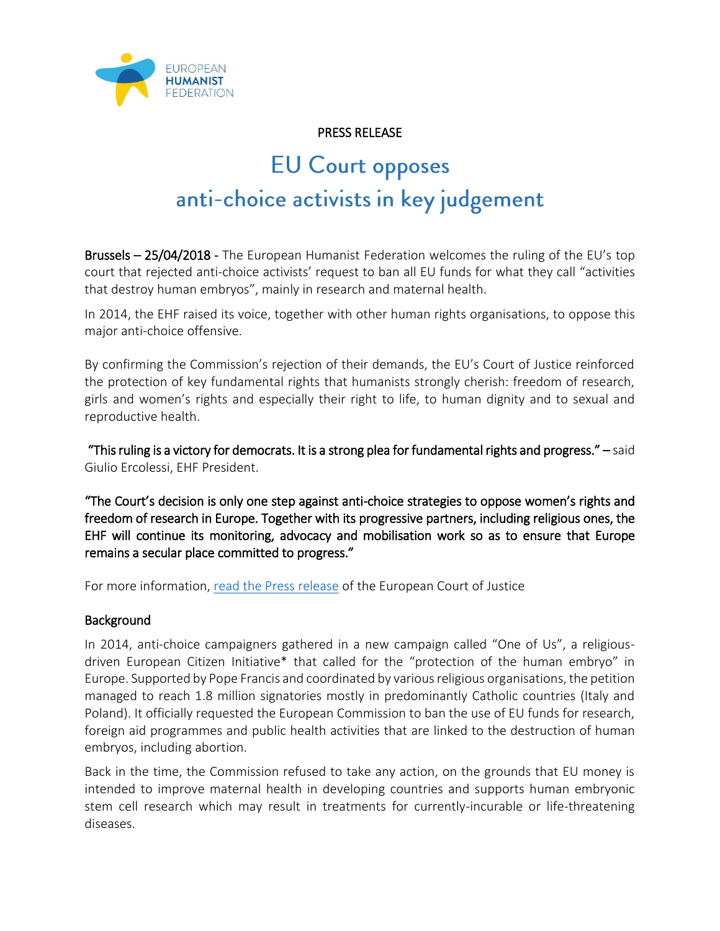

## PRESS RELEASE

# **EU Court opposes** anti-choice activists in key judgement

Brussels – 25/04/2018 - The European Humanist Federation welcomes the ruling of the EU's top court that rejected anti-choice activists' request to ban all EU funds for what they call "activities that destroy human embryos", mainly in research and maternal health.

In 2014, the EHF raised its voice, together with other human rights organisations, to oppose this major anti-choice offensive.

By confirming the Commission's rejection of their demands, the EU's Court of Justice reinforced the protection of key fundamental rights that humanists strongly cherish: freedom of research, girls and women's rights and especially their right to life, to human dignity and to sexual and reproductive health.

 "This ruling is a victory for democrats. It is a strong plea for fundamental rights and progress." – said Giulio Ercolessi, EHF President.

"The Court's decision is only one step against anti-choice strategies to oppose women's rights and freedom of research in Europe. Together with its progressive partners, including religious ones, the EHF will continue its monitoring, advocacy and mobilisation work so as to ensure that Europe remains a secular place committed to progress."

For more information, [read the Press release](https://curia.europa.eu/jcms/upload/docs/application/pdf/2018-04/cp180052en.pdf) of the European Court of Justice

### **Background**

In 2014, anti-choice campaigners gathered in a new campaign called "One of Us", a religiousdriven European Citizen Initiative\* that called for the "protection of the human embryo" in Europe. Supported by Pope Francis and coordinated by various religious organisations, the petition managed to reach 1.8 million signatories mostly in predominantly Catholic countries (Italy and Poland). It officially requested the European Commission to ban the use of EU funds for research, foreign aid programmes and public health activities that are linked to the destruction of human embryos, including abortion.

Back in the time, the Commission refused to take any action, on the grounds that EU money is intended to improve maternal health in developing countries and supports human embryonic stem cell research which may result in treatments for currently-incurable or life-threatening diseases.